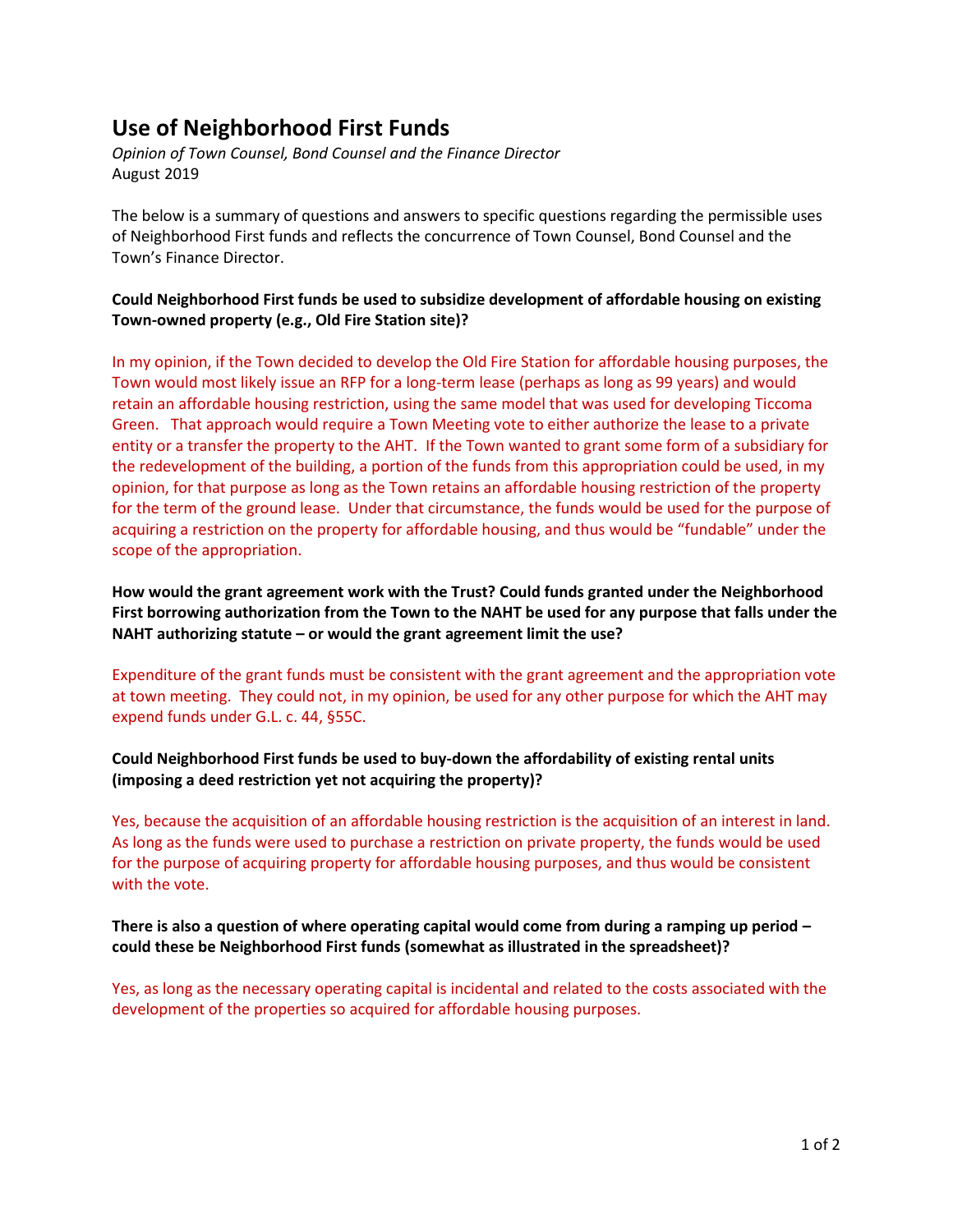# **Use of Neighborhood First Funds**

*Opinion of Town Counsel, Bond Counsel and the Finance Director* August 2019

The below is a summary of questions and answers to specific questions regarding the permissible uses of Neighborhood First funds and reflects the concurrence of Town Counsel, Bond Counsel and the Town's Finance Director.

# **Could Neighborhood First funds be used to subsidize development of affordable housing on existing Town-owned property (e.g., Old Fire Station site)?**

In my opinion, if the Town decided to develop the Old Fire Station for affordable housing purposes, the Town would most likely issue an RFP for a long-term lease (perhaps as long as 99 years) and would retain an affordable housing restriction, using the same model that was used for developing Ticcoma Green. That approach would require a Town Meeting vote to either authorize the lease to a private entity or a transfer the property to the AHT. If the Town wanted to grant some form of a subsidiary for the redevelopment of the building, a portion of the funds from this appropriation could be used, in my opinion, for that purpose as long as the Town retains an affordable housing restriction of the property for the term of the ground lease. Under that circumstance, the funds would be used for the purpose of acquiring a restriction on the property for affordable housing, and thus would be "fundable" under the scope of the appropriation.

**How would the grant agreement work with the Trust? Could funds granted under the Neighborhood First borrowing authorization from the Town to the NAHT be used for any purpose that falls under the NAHT authorizing statute – or would the grant agreement limit the use?**

Expenditure of the grant funds must be consistent with the grant agreement and the appropriation vote at town meeting. They could not, in my opinion, be used for any other purpose for which the AHT may expend funds under G.L. c. 44, §55C.

# **Could Neighborhood First funds be used to buy-down the affordability of existing rental units (imposing a deed restriction yet not acquiring the property)?**

Yes, because the acquisition of an affordable housing restriction is the acquisition of an interest in land. As long as the funds were used to purchase a restriction on private property, the funds would be used for the purpose of acquiring property for affordable housing purposes, and thus would be consistent with the vote.

# **There is also a question of where operating capital would come from during a ramping up period – could these be Neighborhood First funds (somewhat as illustrated in the spreadsheet)?**

Yes, as long as the necessary operating capital is incidental and related to the costs associated with the development of the properties so acquired for affordable housing purposes.